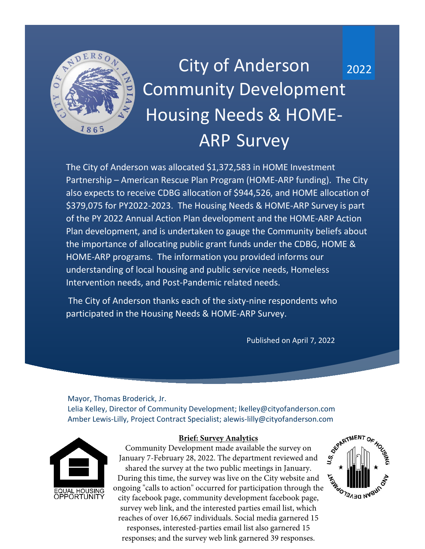

# 2022 City of Anderson Community Development Housing Needs & HOME-ARP Survey

The City of Anderson was allocated \$1,372,583 in HOME Investment Partnership – American Rescue Plan Program (HOME-ARP funding). The City also expects to receive CDBG allocation of \$944,526, and HOME allocation of \$379,075 for PY2022-2023. The Housing Needs & HOME-ARP Survey is part of the PY 2022 Annual Action Plan development and the HOME-ARP Action Plan development, and is undertaken to gauge the Community beliefs about the importance of allocating public grant funds under the CDBG, HOME & HOME-ARP programs. The information you provided informs our understanding of local housing and public service needs, Homeless Intervention needs, and Post-Pandemic related needs.

The City of Anderson thanks each of the sixty-nine respondents who participated in the Housing Needs & HOME-ARP Survey.

Published on April 7, 2022

Mayor, Thomas Broderick, Jr. Lelia Kelley, Director of Community Development; lkelley@cityofanderson.com Amber Lewis-Lilly, Project Contract Specialist; alewis-lilly@cityofanderson.com



#### **Brief: Survey Analytics**

Community Development made available the survey on January 7-February 28, 2022. The department reviewed and shared the survey at the two public meetings in January. During this time, the survey was live on the City website and During this time, the survey was live on the City weblest the ongoing "calls to action" occurred for participation through the organization where  $\frac{1}{2}$ city facebook page, community development facebook page, survey web link, and the interested parties email list, which reaches of over 16,667 individuals. Social media garnered 15 responses, interested-parties email list also garnered 15 responses; and the survey web link garnered 39 responses.

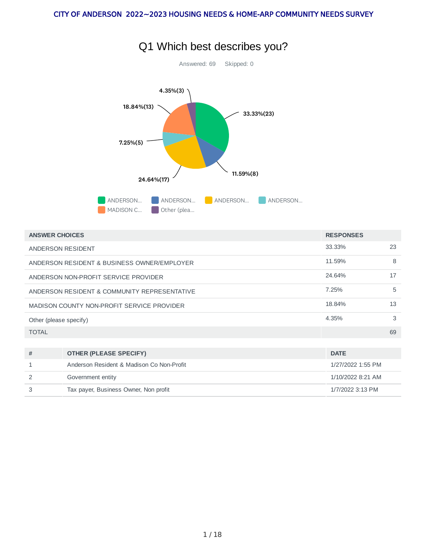

|  | Q1 Which best describes you? |
|--|------------------------------|
|--|------------------------------|

| <b>ANSWER CHOICES</b>                        | <b>RESPONSES</b>                          |                   |                  |  |  |
|----------------------------------------------|-------------------------------------------|-------------------|------------------|--|--|
| ANDERSON RESIDENT                            | 33.33%                                    | 23                |                  |  |  |
| ANDERSON RESIDENT & BUSINESS OWNER/EMPLOYER  | 11.59%                                    | 8                 |                  |  |  |
| ANDERSON NON-PROFIT SERVICE PROVIDER         | 24.64%                                    | 17                |                  |  |  |
| ANDERSON RESIDENT & COMMUNITY REPRESENTATIVE | 7.25%                                     | 5                 |                  |  |  |
| MADISON COUNTY NON-PROFIT SERVICE PROVIDER   | 18.84%                                    | 13                |                  |  |  |
| Other (please specify)                       | 4.35%                                     | 3                 |                  |  |  |
| <b>TOTAL</b>                                 |                                           |                   | 69               |  |  |
|                                              |                                           |                   |                  |  |  |
| #                                            | <b>OTHER (PLEASE SPECIFY)</b>             | <b>DATE</b>       |                  |  |  |
| 1                                            | Anderson Resident & Madison Co Non-Profit | 1/27/2022 1:55 PM |                  |  |  |
| 2                                            | Government entity                         | 1/10/2022 8:21 AM |                  |  |  |
| 3                                            | Tax payer, Business Owner, Non profit     |                   | 1/7/2022 3:13 PM |  |  |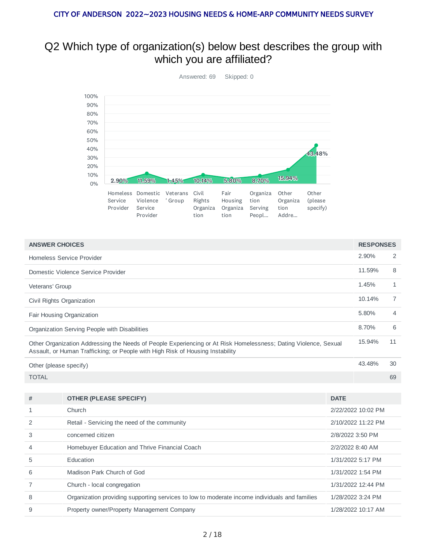### Q2 Which type of organization(s) below best describes the group with which you are affiliated?



| <b>ANSWER CHOICES</b>                                                                                                                                                                             |                                                                                               |                  | <b>RESPONSES</b>   |                |  |  |  |
|---------------------------------------------------------------------------------------------------------------------------------------------------------------------------------------------------|-----------------------------------------------------------------------------------------------|------------------|--------------------|----------------|--|--|--|
| <b>Homeless Service Provider</b>                                                                                                                                                                  |                                                                                               |                  |                    |                |  |  |  |
|                                                                                                                                                                                                   | Domestic Violence Service Provider                                                            |                  | 11.59%             | 8              |  |  |  |
| Veterans' Group                                                                                                                                                                                   |                                                                                               |                  | 1.45%              | $\mathbf{1}$   |  |  |  |
| Civil Rights Organization                                                                                                                                                                         |                                                                                               |                  | 10.14%             | $\overline{7}$ |  |  |  |
|                                                                                                                                                                                                   | Fair Housing Organization                                                                     |                  | 5.80%              | 4              |  |  |  |
|                                                                                                                                                                                                   | Organization Serving People with Disabilities                                                 |                  | 8.70%              | 6              |  |  |  |
| Other Organization Addressing the Needs of People Experiencing or At Risk Homelessness; Dating Violence, Sexual<br>Assault, or Human Trafficking; or People with High Risk of Housing Instability |                                                                                               |                  |                    |                |  |  |  |
| Other (please specify)                                                                                                                                                                            |                                                                                               |                  |                    |                |  |  |  |
| <b>TOTAL</b>                                                                                                                                                                                      |                                                                                               |                  |                    | 69             |  |  |  |
|                                                                                                                                                                                                   |                                                                                               |                  |                    |                |  |  |  |
| #                                                                                                                                                                                                 | <b>OTHER (PLEASE SPECIFY)</b>                                                                 | <b>DATE</b>      |                    |                |  |  |  |
| $\mathbf{1}$                                                                                                                                                                                      | Church                                                                                        |                  | 2/22/2022 10:02 PM |                |  |  |  |
| 2                                                                                                                                                                                                 | Retail - Servicing the need of the community                                                  |                  | 2/10/2022 11:22 PM |                |  |  |  |
| 3                                                                                                                                                                                                 | concerned citizen                                                                             | 2/8/2022 3:50 PM |                    |                |  |  |  |
| 4                                                                                                                                                                                                 | Homebuyer Education and Thrive Financial Coach                                                | 2/2/2022 8:40 AM |                    |                |  |  |  |
| 5                                                                                                                                                                                                 | Education                                                                                     |                  | 1/31/2022 5:17 PM  |                |  |  |  |
| Madison Park Church of God<br>1/31/2022 1:54 PM<br>6                                                                                                                                              |                                                                                               |                  |                    |                |  |  |  |
| 7                                                                                                                                                                                                 | Church - local congregation                                                                   |                  | 1/31/2022 12:44 PM |                |  |  |  |
| 8                                                                                                                                                                                                 | Organization providing supporting services to low to moderate income individuals and families |                  | 1/28/2022 3:24 PM  |                |  |  |  |
| 9                                                                                                                                                                                                 | Property owner/Property Management Company                                                    |                  | 1/28/2022 10:17 AM |                |  |  |  |
|                                                                                                                                                                                                   |                                                                                               |                  |                    |                |  |  |  |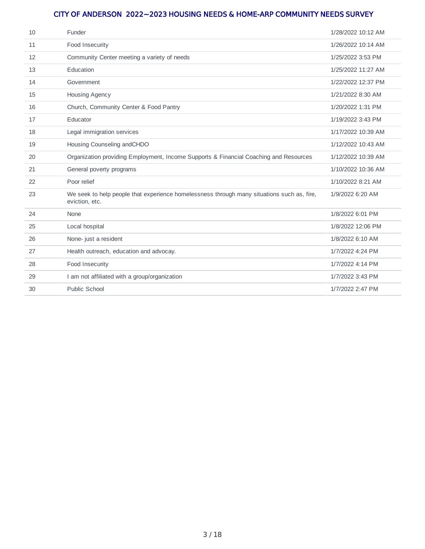| 10 | Funder                                                                                                       | 1/28/2022 10:12 AM |
|----|--------------------------------------------------------------------------------------------------------------|--------------------|
| 11 | Food Insecurity                                                                                              | 1/26/2022 10:14 AM |
| 12 | Community Center meeting a variety of needs                                                                  | 1/25/2022 3:53 PM  |
| 13 | Education                                                                                                    | 1/25/2022 11:27 AM |
| 14 | Government                                                                                                   | 1/22/2022 12:37 PM |
| 15 | Housing Agency                                                                                               | 1/21/2022 8:30 AM  |
| 16 | Church, Community Center & Food Pantry                                                                       | 1/20/2022 1:31 PM  |
| 17 | Educator                                                                                                     | 1/19/2022 3:43 PM  |
| 18 | Legal immigration services                                                                                   | 1/17/2022 10:39 AM |
| 19 | Housing Counseling andCHDO                                                                                   | 1/12/2022 10:43 AM |
| 20 | Organization providing Employment, Income Supports & Financial Coaching and Resources                        | 1/12/2022 10:39 AM |
| 21 | General poverty programs                                                                                     | 1/10/2022 10:36 AM |
| 22 | Poor relief                                                                                                  | 1/10/2022 8:21 AM  |
| 23 | We seek to help people that experience homelessness through many situations such as, fire,<br>eviction, etc. | 1/9/2022 6:20 AM   |
| 24 | None                                                                                                         | 1/8/2022 6:01 PM   |
| 25 | Local hospital                                                                                               | 1/8/2022 12:06 PM  |
| 26 | None- just a resident                                                                                        | 1/8/2022 6:10 AM   |
| 27 | Health outreach, education and advocay.                                                                      | 1/7/2022 4:24 PM   |
| 28 | Food Insecurity                                                                                              | 1/7/2022 4:14 PM   |
| 29 | I am not affiliated with a group/organization                                                                | 1/7/2022 3:43 PM   |
| 30 | Public School                                                                                                | 1/7/2022 2:47 PM   |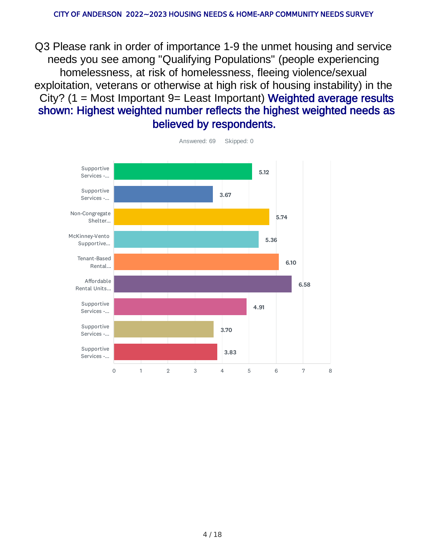Q3 Please rank in order of importance 1-9 the unmet housing and service needs you see among "Qualifying Populations" (people experiencing homelessness, at risk of homelessness, fleeing violence/sexual exploitation, veterans or otherwise at high risk of housing instability) in the City? (1 = Most Important 9= Least Important) Weighted average results shown: Highest weighted number reflects the highest weighted needs as believed by respondents.



Answered: 69 Skipped: 0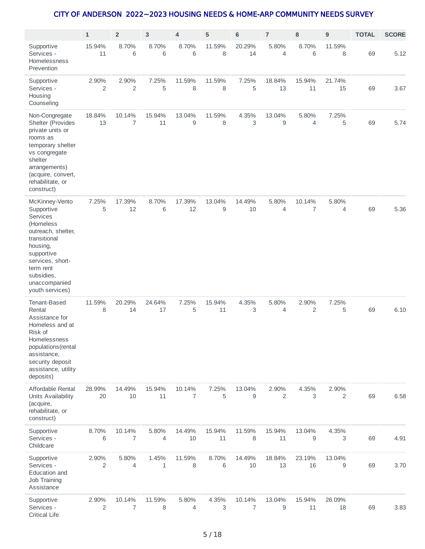|                                                                                                                                                                                                                 | $\mathbf 1$  | $\overline{\mathbf{c}}$  | 3            | 4                        | 5                | 6                | $\overline{7}$   | 8            | 9            | <b>TOTAL</b> | <b>SCORE</b> |
|-----------------------------------------------------------------------------------------------------------------------------------------------------------------------------------------------------------------|--------------|--------------------------|--------------|--------------------------|------------------|------------------|------------------|--------------|--------------|--------------|--------------|
| Supportive<br>Services -<br>Homelessness<br>Prevention                                                                                                                                                          | 15.94%<br>11 | 8.70%<br>6               | 8.70%<br>6   | 8.70%<br>6               | 11.59%<br>8      | 20.29%<br>14     | 5.80%<br>4       | 8.70%<br>6   | 11.59%<br>8  | 69           | 5.12         |
| Supportive<br>Services -<br>Housing<br>Counseling                                                                                                                                                               | 2.90%<br>2   | 2.90%<br>$\overline{c}$  | 7.25%<br>5   | 11.59%<br>8              | 11.59%<br>8      | 7.25%<br>5       | 18.84%<br>13     | 15.94%<br>11 | 21.74%<br>15 | 69           | 3.67         |
| Non-Congregate<br>Shelter (Provides<br>private units or<br>rooms as<br>temporary shelter<br>vs congregate<br>shelter<br>arrangements)<br>(acquire, convert,<br>rehabilitate, or<br>construct)                   | 18.84%<br>13 | 10.14%<br>7              | 15.94%<br>11 | 13.04%<br>9              | 11.59%<br>8      | 4.35%<br>3       | 13.04%<br>9      | 5.80%<br>4   | 7.25%<br>5   | 69           | 5.74         |
| McKinney-Vento<br>Supportive<br><b>Services</b><br>(Homeless<br>outreach, shelter,<br>transitional<br>housing,<br>supportive<br>services, short-<br>term rent<br>subsidies,<br>unaccompanied<br>youth services) | 7.25%<br>5   | 17.39%<br>12             | 8.70%<br>6   | 17.39%<br>12             | 13.04%<br>9      | 14.49%<br>10     | 5.80%<br>4       | 10.14%<br>7  | 5.80%<br>4   | 69           | 5.36         |
| Tenant-Based<br>Rental<br>Assistance for<br>Homeless and at<br>Risk of<br>Homelessness<br>populations (rental<br>assistance,<br>security deposit<br>assistance, utility<br>deposits)                            | 11.59%<br>8  | 20.29%<br>14             | 24.64%<br>17 | 7.25%<br>5               | 15.94%<br>11     | 4.35%<br>3       | 5.80%<br>4       | 2.90%<br>2   | 7.25%<br>5   | 69           | 6.10         |
| Affordable Rental<br>Units Availability<br>(acquire,<br>rehabilitate, or<br>construct)                                                                                                                          | 28.99%<br>20 | 14.49%<br>$10\,$         | 15.94%<br>11 | 10.14%<br>$\overline{7}$ | 7.25%<br>5       | 13.04%<br>9      | 2.90%<br>2       | 4.35%<br>3   | 2.90%<br>2   | 69           | 6.58         |
| Supportive<br>Services -<br>Childcare                                                                                                                                                                           | 8.70%<br>6   | 10.14%<br>$\overline{7}$ | 5.80%<br>4   | 14.49%<br>$10\,$         | 15.94%<br>$11\,$ | 11.59%<br>8      | 15.94%<br>$11\,$ | 13.04%<br>9  | 4.35%<br>3   | 69           | 4.91         |
| Supportive<br>Services -<br>Education and<br><b>Job Training</b><br>Assistance                                                                                                                                  | 2.90%<br>2   | 5.80%<br>4               | 1.45%<br>1   | 11.59%<br>8              | 8.70%<br>6       | 14.49%<br>$10\,$ | 18.84%<br>13     | 23.19%<br>16 | 13.04%<br>9  | 69           | 3.70         |
| Supportive<br>Services -<br><b>Critical Life</b>                                                                                                                                                                | 2.90%<br>2   | 10.14%<br>7              | 11.59%<br>8  | 5.80%<br>4               | 4.35%<br>3       | 10.14%<br>7      | 13.04%<br>9      | 15.94%<br>11 | 26.09%<br>18 | 69           | 3.83         |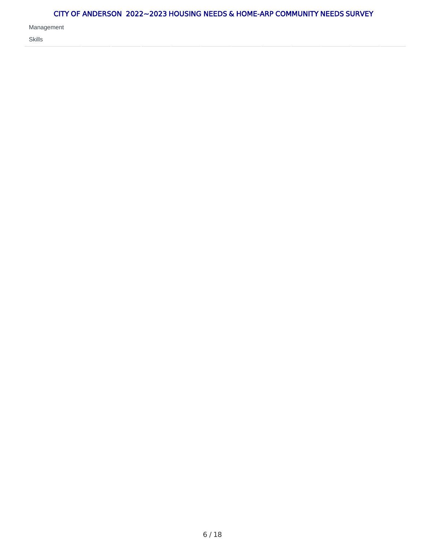Management

Skills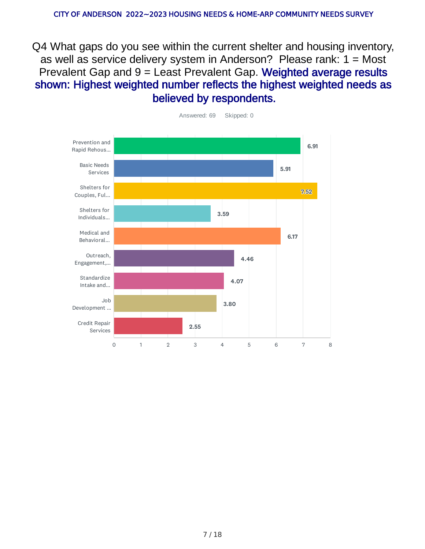Q4 What gaps do you see within the current shelter and housing inventory, as well as service delivery system in Anderson? Please rank: 1 = Most Prevalent Gap and 9 = Least Prevalent Gap. Weighted average results shown: Highest weighted number reflects the highest weighted needs as believed by respondents.



7 / 18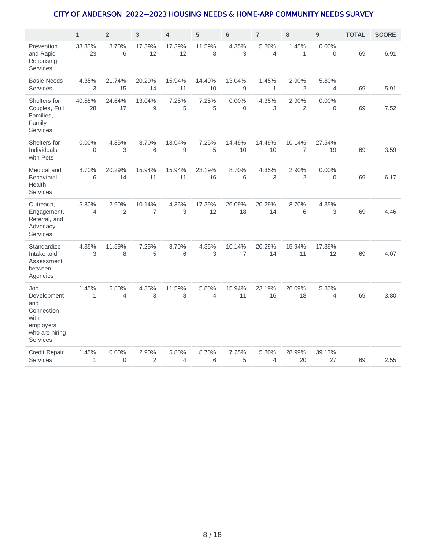|                                                                                                   | $\mathbf{1}$            | $\overline{2}$          | $\mathbf{3}$             | $\overline{4}$ | 5            | $\bf 6$                  | $\overline{7}$       | 8                        | $\boldsymbol{9}$        | <b>TOTAL</b> | <b>SCORE</b> |
|---------------------------------------------------------------------------------------------------|-------------------------|-------------------------|--------------------------|----------------|--------------|--------------------------|----------------------|--------------------------|-------------------------|--------------|--------------|
| Prevention<br>and Rapid<br>Rehousing<br><b>Services</b>                                           | 33.33%<br>23            | 8.70%<br>6              | 17.39%<br>12             | 17.39%<br>12   | 11.59%<br>8  | 4.35%<br>3               | 5.80%<br>4           | 1.45%<br>$\mathbf{1}$    | 0.00%<br>$\mathbf 0$    | 69           | 6.91         |
| <b>Basic Needs</b><br><b>Services</b>                                                             | 4.35%<br>3              | 21.74%<br>15            | 20.29%<br>14             | 15.94%<br>11   | 14.49%<br>10 | 13.04%<br>9              | 1.45%<br>$\mathbf 1$ | 2.90%<br>$\overline{c}$  | 5.80%<br>$\overline{4}$ | 69           | 5.91         |
| Shelters for<br>Couples, Full<br>Families,<br>Family<br>Services                                  | 40.58%<br>28            | 24.64%<br>17            | 13.04%<br>9              | 7.25%<br>5     | 7.25%<br>5   | $0.00\%$<br>0            | 4.35%<br>3           | 2.90%<br>2               | $0.00\%$<br>$\mathbf 0$ | 69           | 7.52         |
| Shelters for<br>Individuals<br>with Pets                                                          | 0.00%<br>$\Omega$       | 4.35%<br>3              | 8.70%<br>6               | 13.04%<br>9    | 7.25%<br>5   | 14.49%<br>10             | 14.49%<br>10         | 10.14%<br>$\overline{7}$ | 27.54%<br>19            | 69           | 3.59         |
| Medical and<br><b>Behavioral</b><br>Health<br><b>Services</b>                                     | 8.70%<br>6              | 20.29%<br>14            | 15.94%<br>11             | 15.94%<br>11   | 23.19%<br>16 | 8.70%<br>6               | 4.35%<br>3           | 2.90%<br>$\overline{2}$  | $0.00\%$<br>$\Omega$    | 69           | 6.17         |
| Outreach,<br>Engagement,<br>Referral, and<br>Advocacy<br><b>Services</b>                          | 5.80%<br>$\overline{4}$ | 2.90%<br>$\overline{2}$ | 10.14%<br>$\overline{7}$ | 4.35%<br>3     | 17.39%<br>12 | 26.09%<br>18             | 20.29%<br>14         | 8.70%<br>6               | 4.35%<br>3              | 69           | 4.46         |
| Standardize<br>Intake and<br>Assessment<br>between<br>Agencies                                    | 4.35%<br>3              | 11.59%<br>8             | 7.25%<br>5               | 8.70%<br>6     | 4.35%<br>3   | 10.14%<br>$\overline{7}$ | 20.29%<br>14         | 15.94%<br>11             | 17.39%<br>12            | 69           | 4.07         |
| Job<br>Development<br>and<br>Connection<br>with<br>employers<br>who are hiring<br><b>Services</b> | 1.45%<br>$\mathbf{1}$   | 5.80%<br>4              | 4.35%<br>3               | 11.59%<br>8    | 5.80%<br>4   | 15.94%<br>11             | 23.19%<br>16         | 26.09%<br>18             | 5.80%<br>$\overline{4}$ | 69           | 3.80         |
| Credit Repair<br><b>Services</b>                                                                  | 1.45%<br>$\mathbf 1$    | 0.00%<br>$\overline{0}$ | 2.90%<br>$\overline{c}$  | 5.80%<br>4     | 8.70%<br>6   | 7.25%<br>5               | 5.80%<br>4           | 28.99%<br>20             | 39.13%<br>27            | 69           | 2.55         |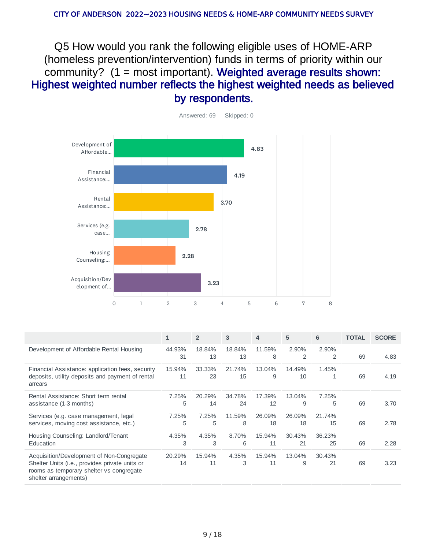Q5 How would you rank the following eligible uses of HOME-ARP (homeless prevention/intervention) funds in terms of priority within our community? (1 = most important). Weighted average results shown: Highest weighted number reflects the highest weighted needs as believed by respondents.



|                                                                                                                                                                          | 1            | $\overline{2}$ | 3            | 4            | 5            | 6            | <b>TOTAL</b> | <b>SCORE</b> |
|--------------------------------------------------------------------------------------------------------------------------------------------------------------------------|--------------|----------------|--------------|--------------|--------------|--------------|--------------|--------------|
| Development of Affordable Rental Housing                                                                                                                                 | 44.93%<br>31 | 18.84%<br>13   | 18.84%<br>13 | 11.59%<br>8  | 2.90%<br>2   | 2.90%<br>2   | 69           | 4.83         |
| Financial Assistance: application fees, security<br>deposits, utility deposits and payment of rental<br>arrears                                                          | 15.94%<br>11 | 33.33%<br>23   | 21.74%<br>15 | 13.04%<br>9  | 14.49%<br>10 | 1.45%<br>1   | 69           | 4.19         |
| Rental Assistance: Short term rental<br>assistance (1-3 months)                                                                                                          | 7.25%<br>5   | 20.29%<br>14   | 34.78%<br>24 | 17.39%<br>12 | 13.04%<br>9  | 7.25%<br>5   | 69           | 3.70         |
| Services (e.g. case management, legal<br>services, moving cost assistance, etc.)                                                                                         | 7.25%<br>5   | 7.25%<br>5     | 11.59%<br>8  | 26.09%<br>18 | 26.09%<br>18 | 21.74%<br>15 | 69           | 2.78         |
| Housing Counseling: Landlord/Tenant<br>Education                                                                                                                         | 4.35%<br>3   | 4.35%<br>3     | 8.70%<br>6   | 15.94%<br>11 | 30.43%<br>21 | 36.23%<br>25 | 69           | 2.28         |
| Acquisition/Development of Non-Congregate<br>Shelter Units ( <i>i.e., provides private units or</i><br>rooms as temporary shelter vs congregate<br>shelter arrangements) | 20.29%<br>14 | 15.94%<br>11   | 4.35%<br>3   | 15.94%<br>11 | 13.04%<br>9  | 30.43%<br>21 | 69           | 3.23         |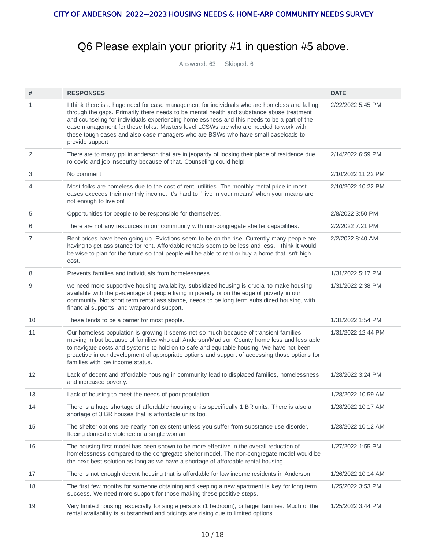## Q6 Please explain your priority #1 in question #5 above.

Answered: 63 Skipped: 6

| #  | <b>RESPONSES</b>                                                                                                                                                                                                                                                                                                                                                                                                                                                                          | <b>DATE</b>        |
|----|-------------------------------------------------------------------------------------------------------------------------------------------------------------------------------------------------------------------------------------------------------------------------------------------------------------------------------------------------------------------------------------------------------------------------------------------------------------------------------------------|--------------------|
| 1  | I think there is a huge need for case management for individuals who are homeless and falling<br>through the gaps. Primarily there needs to be mental health and substance abuse treatment<br>and counseling for individuals experiencing homelessness and this needs to be a part of the<br>case management for these folks. Masters level LCSWs are who are needed to work with<br>these tough cases and also case managers who are BSWs who have small caseloads to<br>provide support | 2/22/2022 5:45 PM  |
| 2  | There are to many ppl in anderson that are in jeopardy of loosing their place of residence due<br>ro covid and job insecurity because of that. Counseling could help!                                                                                                                                                                                                                                                                                                                     | 2/14/2022 6:59 PM  |
| 3  | No comment                                                                                                                                                                                                                                                                                                                                                                                                                                                                                | 2/10/2022 11:22 PM |
| 4  | Most folks are homeless due to the cost of rent, utilities. The monthly rental price in most<br>cases exceeds their monthly income. It's hard to " live in your means" when your means are<br>not enough to live on!                                                                                                                                                                                                                                                                      | 2/10/2022 10:22 PM |
| 5  | Opportunities for people to be responsible for themselves.                                                                                                                                                                                                                                                                                                                                                                                                                                | 2/8/2022 3:50 PM   |
| 6  | There are not any resources in our community with non-congregate shelter capabilities.                                                                                                                                                                                                                                                                                                                                                                                                    | 2/2/2022 7:21 PM   |
| 7  | Rent prices have been going up. Evictions seem to be on the rise. Currently many people are<br>having to get assistance for rent. Affordable rentals seem to be less and less. I think it would<br>be wise to plan for the future so that people will be able to rent or buy a home that isn't high<br>cost.                                                                                                                                                                              | 2/2/2022 8:40 AM   |
| 8  | Prevents families and individuals from homelessness.                                                                                                                                                                                                                                                                                                                                                                                                                                      | 1/31/2022 5:17 PM  |
| 9  | we need more supportive housing availablity, subsidized housing is crucial to make housing<br>available with the percentage of people living in poverty or on the edge of poverty in our<br>community. Not short term rental assistance, needs to be long term subsidized housing, with<br>financial supports, and wraparound support.                                                                                                                                                    | 1/31/2022 2:38 PM  |
| 10 | These tends to be a barrier for most people.                                                                                                                                                                                                                                                                                                                                                                                                                                              | 1/31/2022 1:54 PM  |
| 11 | Our homeless population is growing it seems not so much because of transient families<br>moving in but because of families who call Anderson/Madison County home less and less able<br>to navigate costs and systems to hold on to safe and equitable housing. We have not been<br>proactive in our development of appropriate options and support of accessing those options for<br>families with low income status.                                                                     | 1/31/2022 12:44 PM |
| 12 | Lack of decent and affordable housing in community lead to displaced families, homelessness<br>and increased poverty.                                                                                                                                                                                                                                                                                                                                                                     | 1/28/2022 3:24 PM  |
| 13 | Lack of housing to meet the needs of poor population                                                                                                                                                                                                                                                                                                                                                                                                                                      | 1/28/2022 10:59 AM |
| 14 | There is a huge shortage of affordable housing units specifically 1 BR units. There is also a<br>shortage of 3 BR houses that is affordable units too.                                                                                                                                                                                                                                                                                                                                    | 1/28/2022 10:17 AM |
| 15 | The shelter options are nearly non-existent unless you suffer from substance use disorder,<br>fleeing domestic violence or a single woman.                                                                                                                                                                                                                                                                                                                                                | 1/28/2022 10:12 AM |
| 16 | The housing first model has been shown to be more effective in the overall reduction of<br>homelessness compared to the congregate shelter model. The non-congregate model would be<br>the next best solution as long as we have a shortage of affordable rental housing.                                                                                                                                                                                                                 | 1/27/2022 1:55 PM  |
| 17 | There is not enough decent housing that is affordable for low income residents in Anderson                                                                                                                                                                                                                                                                                                                                                                                                | 1/26/2022 10:14 AM |
| 18 | The first few months for someone obtaining and keeping a new apartment is key for long term<br>success. We need more support for those making these positive steps.                                                                                                                                                                                                                                                                                                                       | 1/25/2022 3:53 PM  |
| 19 | Very limited housing, especially for single persons (1 bedroom), or larger families. Much of the<br>rental availability is substandard and pricings are rising due to limited options.                                                                                                                                                                                                                                                                                                    | 1/25/2022 3:44 PM  |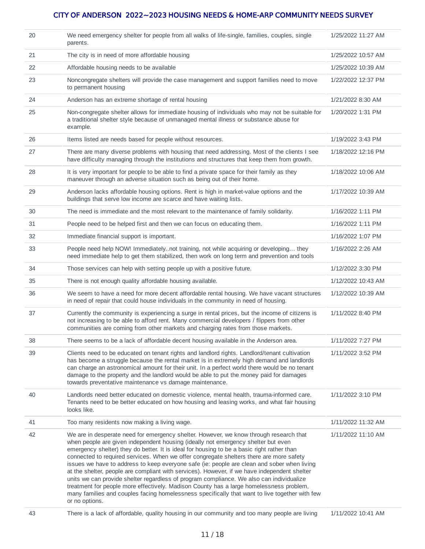| 20 | We need emergency shelter for people from all walks of life-single, families, couples, single<br>parents.                                                                                                                                                                                                                                                                                                                                                                                                                                                                                                                                                                                                                                                                                                                                                                      | 1/25/2022 11:27 AM |
|----|--------------------------------------------------------------------------------------------------------------------------------------------------------------------------------------------------------------------------------------------------------------------------------------------------------------------------------------------------------------------------------------------------------------------------------------------------------------------------------------------------------------------------------------------------------------------------------------------------------------------------------------------------------------------------------------------------------------------------------------------------------------------------------------------------------------------------------------------------------------------------------|--------------------|
| 21 | The city is in need of more affordable housing                                                                                                                                                                                                                                                                                                                                                                                                                                                                                                                                                                                                                                                                                                                                                                                                                                 | 1/25/2022 10:57 AM |
| 22 | Affordable housing needs to be available                                                                                                                                                                                                                                                                                                                                                                                                                                                                                                                                                                                                                                                                                                                                                                                                                                       | 1/25/2022 10:39 AM |
| 23 | Noncongregate shelters will provide the case management and support families need to move<br>to permanent housing                                                                                                                                                                                                                                                                                                                                                                                                                                                                                                                                                                                                                                                                                                                                                              | 1/22/2022 12:37 PM |
| 24 | Anderson has an extreme shortage of rental housing                                                                                                                                                                                                                                                                                                                                                                                                                                                                                                                                                                                                                                                                                                                                                                                                                             | 1/21/2022 8:30 AM  |
| 25 | Non-congregate shelter allows for immediate housing of individuals who may not be suitable for<br>a traditional shelter style because of unmanaged mental illness or substance abuse for<br>example.                                                                                                                                                                                                                                                                                                                                                                                                                                                                                                                                                                                                                                                                           | 1/20/2022 1:31 PM  |
| 26 | Items listed are needs based for people without resources.                                                                                                                                                                                                                                                                                                                                                                                                                                                                                                                                                                                                                                                                                                                                                                                                                     | 1/19/2022 3:43 PM  |
| 27 | There are many diverse problems with housing that need addressing. Most of the clients I see<br>have difficulty managing through the institutions and structures that keep them from growth.                                                                                                                                                                                                                                                                                                                                                                                                                                                                                                                                                                                                                                                                                   | 1/18/2022 12:16 PM |
| 28 | It is very important for people to be able to find a private space for their family as they<br>maneuver through an adverse situation such as being out of their home.                                                                                                                                                                                                                                                                                                                                                                                                                                                                                                                                                                                                                                                                                                          | 1/18/2022 10:06 AM |
| 29 | Anderson lacks affordable housing options. Rent is high in market-value options and the<br>buildings that serve low income are scarce and have waiting lists.                                                                                                                                                                                                                                                                                                                                                                                                                                                                                                                                                                                                                                                                                                                  | 1/17/2022 10:39 AM |
| 30 | The need is immediate and the most relevant to the maintenance of family solidarity.                                                                                                                                                                                                                                                                                                                                                                                                                                                                                                                                                                                                                                                                                                                                                                                           | 1/16/2022 1:11 PM  |
| 31 | People need to be helped first and then we can focus on educating them.                                                                                                                                                                                                                                                                                                                                                                                                                                                                                                                                                                                                                                                                                                                                                                                                        | 1/16/2022 1:11 PM  |
| 32 | Immediate financial support is important.                                                                                                                                                                                                                                                                                                                                                                                                                                                                                                                                                                                                                                                                                                                                                                                                                                      | 1/16/2022 1:07 PM  |
| 33 | People need help NOW! Immediatelynot training, not while acquiring or developing they<br>need immediate help to get them stabilized, then work on long term and prevention and tools                                                                                                                                                                                                                                                                                                                                                                                                                                                                                                                                                                                                                                                                                           | 1/16/2022 2:26 AM  |
| 34 | Those services can help with setting people up with a positive future.                                                                                                                                                                                                                                                                                                                                                                                                                                                                                                                                                                                                                                                                                                                                                                                                         | 1/12/2022 3:30 PM  |
| 35 | There is not enough quality affordable housing available.                                                                                                                                                                                                                                                                                                                                                                                                                                                                                                                                                                                                                                                                                                                                                                                                                      | 1/12/2022 10:43 AM |
| 36 | We seem to have a need for more decent affordable rental housing. We have vacant structures<br>in need of repair that could house individuals in the community in need of housing.                                                                                                                                                                                                                                                                                                                                                                                                                                                                                                                                                                                                                                                                                             | 1/12/2022 10:39 AM |
| 37 | Currently the community is experiencing a surge in rental prices, but the income of citizens is<br>not increasing to be able to afford rent. Many commercial developers / flippers from other<br>communities are coming from other markets and charging rates from those markets.                                                                                                                                                                                                                                                                                                                                                                                                                                                                                                                                                                                              | 1/11/2022 8:40 PM  |
| 38 | There seems to be a lack of affordable decent housing available in the Anderson area.                                                                                                                                                                                                                                                                                                                                                                                                                                                                                                                                                                                                                                                                                                                                                                                          | 1/11/2022 7:27 PM  |
| 39 | Clients need to be educated on tenant rights and landlord rights. Landlord/tenant cultivation<br>has become a struggle because the rental market is in extremely high demand and landlords<br>can charge an astronomical amount for their unit. In a perfect world there would be no tenant<br>damage to the property and the landlord would be able to put the money paid for damages<br>towards preventative maintenance vs damage maintenance.                                                                                                                                                                                                                                                                                                                                                                                                                              | 1/11/2022 3:52 PM  |
| 40 | Landlords need better educated on domestic violence, mental health, trauma-informed care.<br>Tenants need to be better educated on how housing and leasing works, and what fair housing<br>looks like.                                                                                                                                                                                                                                                                                                                                                                                                                                                                                                                                                                                                                                                                         | 1/11/2022 3:10 PM  |
| 41 | Too many residents now making a living wage.                                                                                                                                                                                                                                                                                                                                                                                                                                                                                                                                                                                                                                                                                                                                                                                                                                   | 1/11/2022 11:32 AM |
| 42 | We are in desperate need for emergency shelter. However, we know through research that<br>when people are given independent housing (ideally not emergency shelter but even<br>emergency shelter) they do better. It is ideal for housing to be a basic right rather than<br>connected to required services. When we offer congregate shelters there are more safety<br>issues we have to address to keep everyone safe (ie: people are clean and sober when living<br>at the shelter, people are compliant with services). However, if we have independent shelter<br>units we can provide shelter regardless of program compliance. We also can individualize<br>treatment for people more effectively. Madison County has a large homelessness problem,<br>many families and couples facing homelessness specifically that want to live together with few<br>or no options. | 1/11/2022 11:10 AM |
| 43 | There is a lack of affordable, quality housing in our community and too many people are living                                                                                                                                                                                                                                                                                                                                                                                                                                                                                                                                                                                                                                                                                                                                                                                 | 1/11/2022 10:41 AM |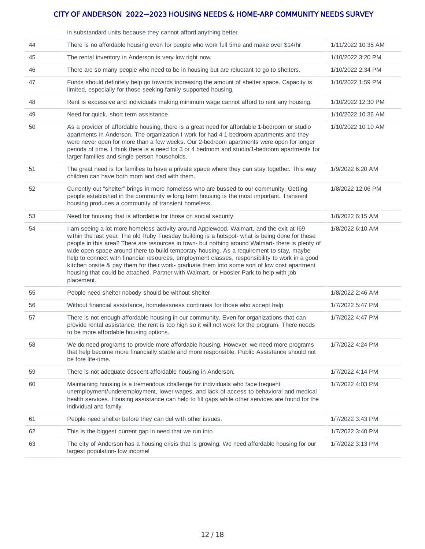|    | in substandard units because they cannot afford anything better.                                                                                                                                                                                                                                                                                                                                                                                                                                                                                                                                                                                                                                    |                    |
|----|-----------------------------------------------------------------------------------------------------------------------------------------------------------------------------------------------------------------------------------------------------------------------------------------------------------------------------------------------------------------------------------------------------------------------------------------------------------------------------------------------------------------------------------------------------------------------------------------------------------------------------------------------------------------------------------------------------|--------------------|
| 44 | There is no affordable housing even for people who work full time and make over \$14/hr                                                                                                                                                                                                                                                                                                                                                                                                                                                                                                                                                                                                             | 1/11/2022 10:35 AM |
| 45 | The rental inventory in Anderson is very low right now.                                                                                                                                                                                                                                                                                                                                                                                                                                                                                                                                                                                                                                             | 1/10/2022 3:20 PM  |
| 46 | There are so many people who need to be in housing but are reluctant to go to shelters.                                                                                                                                                                                                                                                                                                                                                                                                                                                                                                                                                                                                             | 1/10/2022 2:34 PM  |
| 47 | Funds should definitely help go towards increasing the amount of shelter space. Capacity is<br>limited, especially for those seeking family supported housing.                                                                                                                                                                                                                                                                                                                                                                                                                                                                                                                                      | 1/10/2022 1:59 PM  |
| 48 | Rent is excessive and individuals making minimum wage cannot afford to rent any housing.                                                                                                                                                                                                                                                                                                                                                                                                                                                                                                                                                                                                            | 1/10/2022 12:30 PM |
| 49 | Need for quick, short term assistance                                                                                                                                                                                                                                                                                                                                                                                                                                                                                                                                                                                                                                                               | 1/10/2022 10:36 AM |
| 50 | As a provider of affordable housing, there is a great need for affordable 1-bedroom or studio<br>apartments in Anderson. The organization I work for had 4 1-bedroom apartments and they<br>were never open for more than a few weeks. Our 2-bedroom apartments were open for longer<br>periods of time. I think there is a need for 3 or 4 bedroom and studio/1-bedroom apartments for<br>larger families and single person households.                                                                                                                                                                                                                                                            | 1/10/2022 10:10 AM |
| 51 | The great need is for families to have a private space where they can stay together. This way<br>children can have both mom and dad with them.                                                                                                                                                                                                                                                                                                                                                                                                                                                                                                                                                      | 1/9/2022 6:20 AM   |
| 52 | Currently out "shelter" brings in more homeless who are bussed to our community. Getting<br>people established in the community w long term housing is the most important. Transient<br>housing produces a community of transient homeless.                                                                                                                                                                                                                                                                                                                                                                                                                                                         | 1/8/2022 12:06 PM  |
| 53 | Need for housing that is affordable for those on social security                                                                                                                                                                                                                                                                                                                                                                                                                                                                                                                                                                                                                                    | 1/8/2022 6:15 AM   |
| 54 | I am seeing a lot more homeless activity around Applewood, Walmart, and the exit at I69<br>within the last year. The old Ruby Tuesday building is a hotspot- what is being done for these<br>people in this area? There are resources in town- but nothing around Walmart- there is plenty of<br>wide open space around there to build temporary housing. As a requirement to stay, maybe<br>help to connect with financial resources, employment classes, responsibility to work in a good<br>kitchen onsite & pay them for their work- graduate them into some sort of low cost apartment<br>housing that could be attached. Partner with Walmart, or Hoosier Park to help with job<br>placement. | 1/8/2022 6:10 AM   |
| 55 | People need shelter nobody should be without shelter                                                                                                                                                                                                                                                                                                                                                                                                                                                                                                                                                                                                                                                | 1/8/2022 2:46 AM   |
| 56 | Without financial assistance, homelessness continues for those who accept help                                                                                                                                                                                                                                                                                                                                                                                                                                                                                                                                                                                                                      | 1/7/2022 5:47 PM   |
| 57 | There is not enough affordable housing in our community. Even for organizations that can<br>provide rental assistance; the rent is too high so it will not work for the program. There needs<br>to be more affordable housing options.                                                                                                                                                                                                                                                                                                                                                                                                                                                              | 1/7/2022 4:47 PM   |
| 58 | We do need programs to provide more affordable housing. However, we need more programs<br>that help become more financially stable and more responsible. Public Assistance should not<br>be fore life-time.                                                                                                                                                                                                                                                                                                                                                                                                                                                                                         | 1/7/2022 4:24 PM   |
| 59 | There is not adequate descent affordable housing in Anderson.                                                                                                                                                                                                                                                                                                                                                                                                                                                                                                                                                                                                                                       | 1/7/2022 4:14 PM   |
| 60 | Maintaining housing is a tremendous challenge for individuals who face frequent<br>unemployment/underemployment, lower wages, and lack of access to behavioral and medical<br>health services. Housing assistance can help to fill gaps while other services are found for the<br>individual and family.                                                                                                                                                                                                                                                                                                                                                                                            | 1/7/2022 4:03 PM   |
| 61 | People need shelter before they can del with other issues.                                                                                                                                                                                                                                                                                                                                                                                                                                                                                                                                                                                                                                          | 1/7/2022 3:43 PM   |
| 62 | This is the biggest current gap in need that we run into                                                                                                                                                                                                                                                                                                                                                                                                                                                                                                                                                                                                                                            | 1/7/2022 3:40 PM   |
| 63 | The city of Anderson has a housing crisis that is growing. We need affordable housing for our<br>largest population- low income!                                                                                                                                                                                                                                                                                                                                                                                                                                                                                                                                                                    | 1/7/2022 3:13 PM   |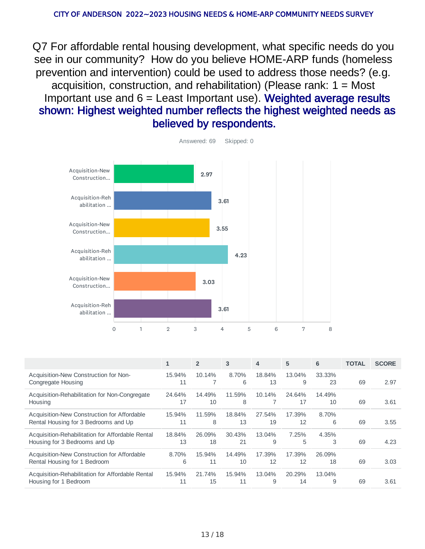Q7 For affordable rental housing development, what specific needs do you see in our community? How do you believe HOME-ARP funds (homeless prevention and intervention) could be used to address those needs? (e.g. acquisition, construction, and rehabilitation) (Please rank:  $1 =$  Most Important use and  $6$  = Least Important use). Weighted average results shown: Highest weighted number reflects the highest weighted needs as believed by respondents.



|                                                                                     | 1            | $\overline{2}$ | 3            | $\overline{4}$ | 5            | 6            | <b>TOTAL</b> | <b>SCORE</b> |
|-------------------------------------------------------------------------------------|--------------|----------------|--------------|----------------|--------------|--------------|--------------|--------------|
| Acquisition-New Construction for Non-<br>Congregate Housing                         | 15.94%<br>11 | 10.14%         | 8.70%<br>6   | 18.84%<br>13   | 13.04%<br>9  | 33.33%<br>23 | 69           | 2.97         |
| Acquisition-Rehabilitation for Non-Congregate<br>Housing                            | 24.64%<br>17 | 14.49%<br>10   | 11.59%<br>8  | 10.14%         | 24.64%<br>17 | 14.49%<br>10 | 69           | 3.61         |
| Acquisition-New Construction for Affordable<br>Rental Housing for 3 Bedrooms and Up | 15.94%<br>11 | 11.59%<br>8    | 18.84%<br>13 | 27.54%<br>19   | 17.39%<br>12 | 8.70%<br>6   | 69           | 3.55         |
| Acquisition-Rehabilitation for Affordable Rental<br>Housing for 3 Bedrooms and Up   | 18.84%<br>13 | 26.09%<br>18   | 30.43%<br>21 | 13.04%<br>9    | 7.25%<br>5   | 4.35%<br>3   | 69           | 4.23         |
| Acquisition-New Construction for Affordable<br>Rental Housing for 1 Bedroom         | 8.70%<br>6   | 15.94%<br>11   | 14.49%<br>10 | 17.39%<br>12   | 17.39%<br>12 | 26.09%<br>18 | 69           | 3.03         |
| Acquisition-Rehabilitation for Affordable Rental<br>Housing for 1 Bedroom           | 15.94%<br>11 | 21.74%<br>15   | 15.94%<br>11 | 13.04%<br>9    | 20.29%<br>14 | 13.04%<br>9  | 69           | 3.61         |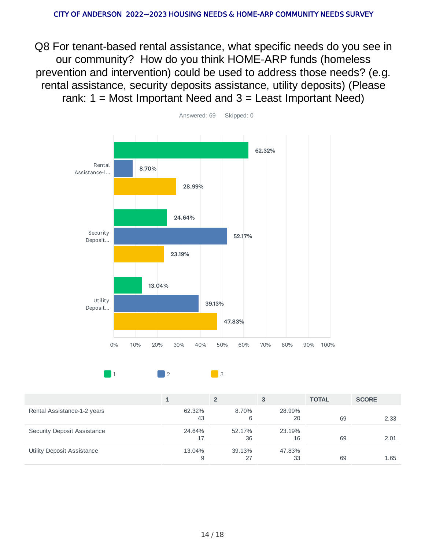Q8 For tenant-based rental assistance, what specific needs do you see in our community? How do you think HOME-ARP funds (homeless prevention and intervention) could be used to address those needs? (e.g. rental assistance, security deposits assistance, utility deposits) (Please rank:  $1 =$  Most Important Need and  $3 =$  Least Important Need)



 $\begin{array}{|c|c|c|c|c|}\n\hline\n1 & 2 & 3\n\end{array}$ 

|                             |              |              | 3            | <b>TOTAL</b> | <b>SCORE</b> |
|-----------------------------|--------------|--------------|--------------|--------------|--------------|
| Rental Assistance-1-2 years | 62.32%<br>43 | 8.70%<br>6   | 28.99%<br>20 | 69           | 2.33         |
| Security Deposit Assistance | 24.64%<br>17 | 52.17%<br>36 | 23.19%<br>16 | 69           | 2.01         |
| Utility Deposit Assistance  | 13.04%<br>9  | 39.13%<br>27 | 47.83%<br>33 | 69           | 1.65         |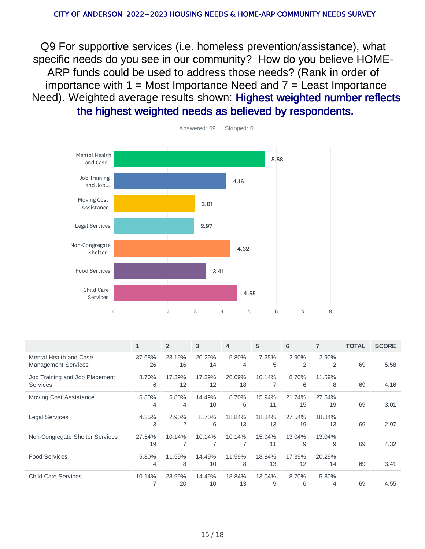Q9 For supportive services (i.e. homeless prevention/assistance), what specific needs do you see in our community? How do you believe HOME-ARP funds could be used to address those needs? (Rank in order of importance with  $1 =$  Most Importance Need and  $7 =$  Least Importance Need). Weighted average results shown: Highest weighted number reflects the highest weighted needs as believed by respondents.



|                                                      | $\mathbf{1}$ | $\overline{2}$ | 3            | $\overline{4}$ | 5            | 6                       | 7                       | <b>TOTAL</b> | <b>SCORE</b> |
|------------------------------------------------------|--------------|----------------|--------------|----------------|--------------|-------------------------|-------------------------|--------------|--------------|
| Mental Health and Case<br><b>Management Services</b> | 37.68%<br>26 | 23.19%<br>16   | 20.29%<br>14 | 5.80%<br>4     | 7.25%<br>5   | 2.90%<br>$\overline{2}$ | 2.90%<br>$\overline{2}$ | 69           | 5.58         |
| Job Training and Job Placement<br><b>Services</b>    | 8.70%<br>6   | 17.39%<br>12   | 17.39%<br>12 | 26.09%<br>18   | 10.14%       | 8.70%<br>6              | 11.59%<br>8             | 69           | 4.16         |
| Moving Cost Assistance                               | 5.80%<br>4   | 5.80%<br>4     | 14.49%<br>10 | 8.70%<br>6     | 15.94%<br>11 | 21.74%<br>15            | 27.54%<br>19            | 69           | 3.01         |
| <b>Legal Services</b>                                | 4.35%<br>3   | 2.90%<br>2     | 8.70%<br>6   | 18.84%<br>13   | 18.84%<br>13 | 27.54%<br>19            | 18.84%<br>13            | 69           | 2.97         |
| Non-Congregate Shelter Services                      | 27.54%<br>19 | 10.14%         | 10.14%       | 10.14%         | 15.94%<br>11 | 13.04%<br>9             | 13.04%<br>9             | 69           | 4.32         |
| <b>Food Services</b>                                 | 5.80%<br>4   | 11.59%<br>8    | 14.49%<br>10 | 11.59%<br>8    | 18.84%<br>13 | 17.39%<br>12            | 20.29%<br>14            | 69           | 3.41         |
| <b>Child Care Services</b>                           | 10.14%       | 28.99%<br>20   | 14.49%<br>10 | 18.84%<br>13   | 13.04%<br>9  | 8.70%<br>6              | 5.80%<br>4              | 69           | 4.55         |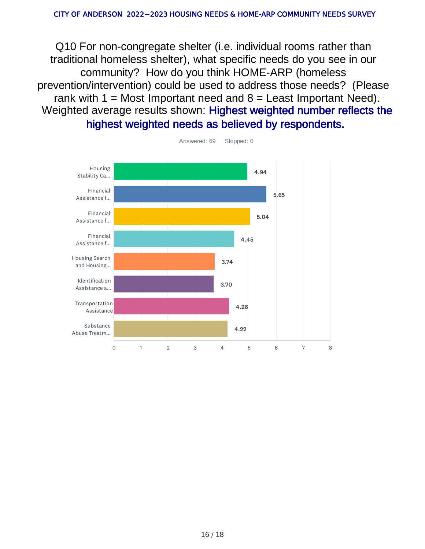Q10 For non-congregate shelter (i.e. individual rooms rather than traditional homeless shelter), what specific needs do you see in our community? How do you think HOME-ARP (homeless prevention/intervention) could be used to address those needs? (Please rank with  $1 =$  Most Important need and  $8 =$  Least Important Need). Weighted average results shown: Highest weighted number reflects the highest weighted needs as believed by respondents.

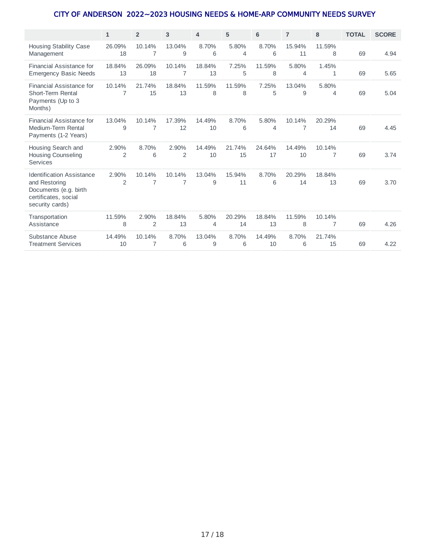|                                                                                                                       | $\mathbf{1}$            | $\overline{2}$          | 3                       | 4            | 5            | 6            | $\overline{7}$ | 8                       | <b>TOTAL</b> | <b>SCORE</b> |
|-----------------------------------------------------------------------------------------------------------------------|-------------------------|-------------------------|-------------------------|--------------|--------------|--------------|----------------|-------------------------|--------------|--------------|
| <b>Housing Stability Case</b><br>Management                                                                           | 26.09%<br>18            | 10.14%<br>7             | 13.04%<br>9             | 8.70%<br>6   | 5.80%<br>4   | 8.70%<br>6   | 15.94%<br>11   | 11.59%<br>8             | 69           | 4.94         |
| Financial Assistance for<br><b>Emergency Basic Needs</b>                                                              | 18.84%<br>13            | 26.09%<br>18            | 10.14%<br>7             | 18.84%<br>13 | 7.25%<br>5   | 11.59%<br>8  | 5.80%<br>4     | 1.45%<br>1              | 69           | 5.65         |
| Financial Assistance for<br>Short-Term Rental<br>Payments (Up to 3<br>Months)                                         | 10.14%<br>7             | 21.74%<br>15            | 18.84%<br>13            | 11.59%<br>8  | 11.59%<br>8  | 7.25%<br>5   | 13.04%<br>9    | 5.80%<br>$\overline{4}$ | 69           | 5.04         |
| Financial Assistance for<br>Medium-Term Rental<br>Payments (1-2 Years)                                                | 13.04%<br>9             | 10.14%<br>7             | 17.39%<br>12            | 14.49%<br>10 | 8.70%<br>6   | 5.80%<br>4   | 10.14%<br>7    | 20.29%<br>14            | 69           | 4.45         |
| Housing Search and<br>Housing Counseling<br><b>Services</b>                                                           | 2.90%<br>$\overline{2}$ | 8.70%<br>6              | 2.90%<br>$\overline{2}$ | 14.49%<br>10 | 21.74%<br>15 | 24.64%<br>17 | 14.49%<br>10   | 10.14%<br>7             | 69           | 3.74         |
| <b>Identification Assistance</b><br>and Restoring<br>Documents (e.g. birth<br>certificates, social<br>security cards) | 2.90%<br>2              | 10.14%<br>7             | 10.14%<br>7             | 13.04%<br>9  | 15.94%<br>11 | 8.70%<br>6   | 20.29%<br>14   | 18.84%<br>13            | 69           | 3.70         |
| Transportation<br>Assistance                                                                                          | 11.59%<br>8             | 2.90%<br>$\overline{2}$ | 18.84%<br>13            | 5.80%<br>4   | 20.29%<br>14 | 18.84%<br>13 | 11.59%<br>8    | 10.14%<br>7             | 69           | 4.26         |
| Substance Abuse<br><b>Treatment Services</b>                                                                          | 14.49%<br>10            | 10.14%<br>7             | 8.70%<br>6              | 13.04%<br>9  | 8.70%<br>6   | 14.49%<br>10 | 8.70%<br>6     | 21.74%<br>15            | 69           | 4.22         |